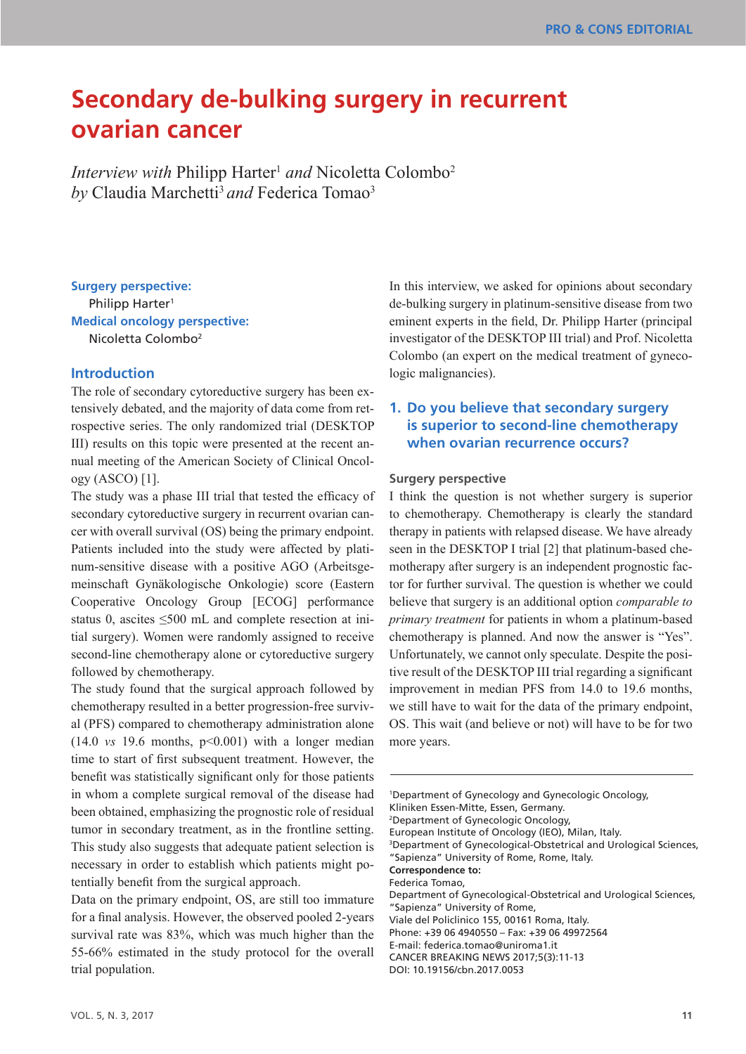# **Secondary de-bulking surgery in recurrent ovarian cancer**

*Interview with* Philipp Harter<sup>1</sup> and Nicoletta Colombo<sup>2</sup> *by* Claudia Marchetti<sup>3</sup> and Federica Tomao<sup>3</sup>

**Surgery perspective:**  Philipp Harter<sup>1</sup> **Medical oncology perspective:**  Nicoletta Colombo2

# **Introduction**

The role of secondary cytoreductive surgery has been extensively debated, and the majority of data come from retrospective series. The only randomized trial (DESKTOP III) results on this topic were presented at the recent annual meeting of the American Society of Clinical Oncology (ASCO) [1].

The study was a phase III trial that tested the efficacy of secondary cytoreductive surgery in recurrent ovarian cancer with overall survival (OS) being the primary endpoint. Patients included into the study were affected by platinum-sensitive disease with a positive AGO (Arbeitsgemeinschaft Gynäkologische Onkologie) score (Eastern Cooperative Oncology Group [ECOG] performance status 0, ascites  $\leq 500$  mL and complete resection at initial surgery). Women were randomly assigned to receive second-line chemotherapy alone or cytoreductive surgery followed by chemotherapy.

The study found that the surgical approach followed by chemotherapy resulted in a better progression-free survival (PFS) compared to chemotherapy administration alone  $(14.0 \text{ vs } 19.6 \text{ months}, \text{ p} < 0.001)$  with a longer median time to start of first subsequent treatment. However, the benefit was statistically significant only for those patients in whom a complete surgical removal of the disease had been obtained, emphasizing the prognostic role of residual tumor in secondary treatment, as in the frontline setting. This study also suggests that adequate patient selection is necessary in order to establish which patients might potentially benefit from the surgical approach.

Data on the primary endpoint, OS, are still too immature for a final analysis. However, the observed pooled 2-years survival rate was 83%, which was much higher than the 55-66% estimated in the study protocol for the overall trial population.

In this interview, we asked for opinions about secondary de-bulking surgery in platinum-sensitive disease from two eminent experts in the field, Dr. Philipp Harter (principal investigator of the DESKTOP III trial) and Prof. Nicoletta Colombo (an expert on the medical treatment of gynecologic malignancies).

# **1. Do you believe that secondary surgery is superior to second-line chemotherapy when ovarian recurrence occurs?**

#### **Surgery perspective**

I think the question is not whether surgery is superior to chemotherapy. Chemotherapy is clearly the standard therapy in patients with relapsed disease. We have already seen in the DESKTOP I trial [2] that platinum-based chemotherapy after surgery is an independent prognostic factor for further survival. The question is whether we could believe that surgery is an additional option *comparable to primary treatment* for patients in whom a platinum-based chemotherapy is planned. And now the answer is "Yes". Unfortunately, we cannot only speculate. Despite the positive result of the DESKTOP III trial regarding a significant improvement in median PFS from 14.0 to 19.6 months, we still have to wait for the data of the primary endpoint, OS. This wait (and believe or not) will have to be for two more years.

1 Department of Gynecology and Gynecologic Oncology, Kliniken Essen-Mitte, Essen, Germany. 2 Department of Gynecologic Oncology, European Institute of Oncology (IEO), Milan, Italy. 3 Department of Gynecological-Obstetrical and Urological Sciences, "Sapienza" University of Rome, Rome, Italy. **Correspondence to:** Federica Tomao, Department of Gynecological-Obstetrical and Urological Sciences, "Sapienza" University of Rome, Viale del Policlinico 155, 00161 Roma, Italy. Phone: +39 06 4940550 – Fax: +39 06 49972564 E-mail: federica.tomao@uniroma1.it CANCER BREAKING NEWS 2017;5(3):11-13 DOI: 10.19156/cbn.2017.0053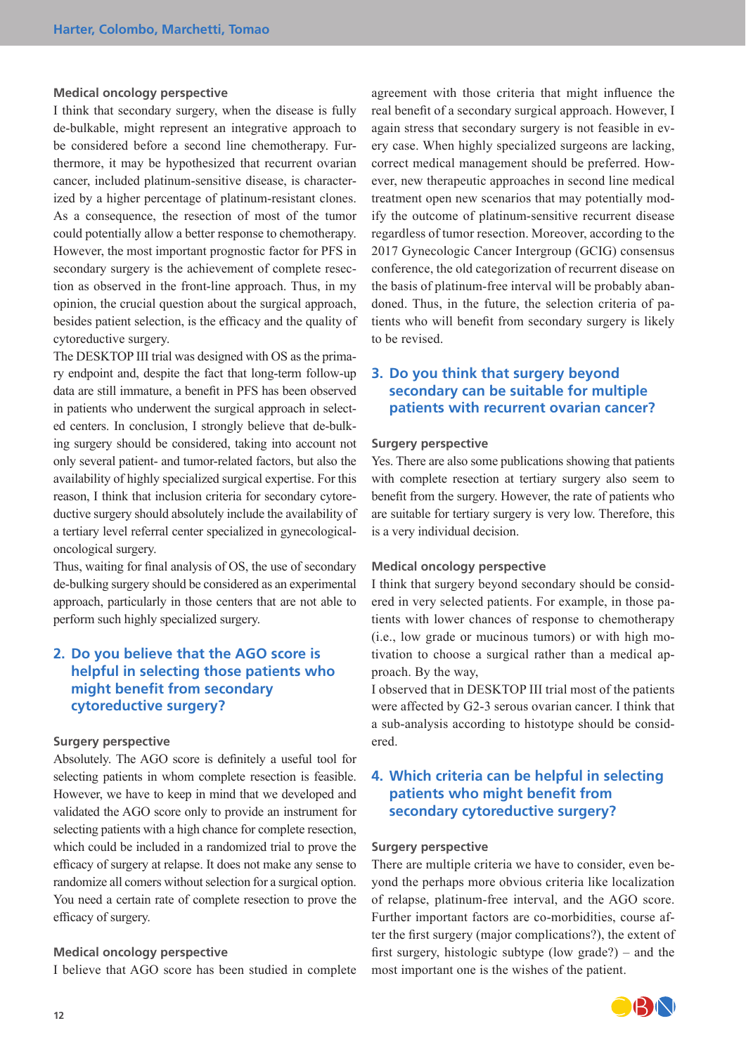## **Medical oncology perspective**

I think that secondary surgery, when the disease is fully de-bulkable, might represent an integrative approach to be considered before a second line chemotherapy. Furthermore, it may be hypothesized that recurrent ovarian cancer, included platinum-sensitive disease, is characterized by a higher percentage of platinum-resistant clones. As a consequence, the resection of most of the tumor could potentially allow a better response to chemotherapy. However, the most important prognostic factor for PFS in secondary surgery is the achievement of complete resection as observed in the front-line approach. Thus, in my opinion, the crucial question about the surgical approach, besides patient selection, is the efficacy and the quality of cytoreductive surgery.

The DESKTOP III trial was designed with OS as the primary endpoint and, despite the fact that long-term follow-up data are still immature, a benefit in PFS has been observed in patients who underwent the surgical approach in selected centers. In conclusion, I strongly believe that de-bulking surgery should be considered, taking into account not only several patient- and tumor-related factors, but also the availability of highly specialized surgical expertise. For this reason, I think that inclusion criteria for secondary cytoreductive surgery should absolutely include the availability of a tertiary level referral center specialized in gynecologicaloncological surgery.

Thus, waiting for final analysis of OS, the use of secondary de-bulking surgery should be considered as an experimental approach, particularly in those centers that are not able to perform such highly specialized surgery.

# **2. Do you believe that the AGO score is helpful in selecting those patients who might benefit from secondary cytoreductive surgery?**

## **Surgery perspective**

Absolutely. The AGO score is definitely a useful tool for selecting patients in whom complete resection is feasible. However, we have to keep in mind that we developed and validated the AGO score only to provide an instrument for selecting patients with a high chance for complete resection, which could be included in a randomized trial to prove the efficacy of surgery at relapse. It does not make any sense to randomize all comers without selection for a surgical option. You need a certain rate of complete resection to prove the efficacy of surgery.

## **Medical oncology perspective**

I believe that AGO score has been studied in complete

agreement with those criteria that might influence the real benefit of a secondary surgical approach. However, I again stress that secondary surgery is not feasible in every case. When highly specialized surgeons are lacking, correct medical management should be preferred. However, new therapeutic approaches in second line medical treatment open new scenarios that may potentially modify the outcome of platinum-sensitive recurrent disease regardless of tumor resection. Moreover, according to the 2017 Gynecologic Cancer Intergroup (GCIG) consensus conference, the old categorization of recurrent disease on the basis of platinum-free interval will be probably abandoned. Thus, in the future, the selection criteria of patients who will benefit from secondary surgery is likely to be revised.

# **3. Do you think that surgery beyond secondary can be suitable for multiple patients with recurrent ovarian cancer?**

#### **Surgery perspective**

Yes. There are also some publications showing that patients with complete resection at tertiary surgery also seem to benefit from the surgery. However, the rate of patients who are suitable for tertiary surgery is very low. Therefore, this is a very individual decision.

#### **Medical oncology perspective**

I think that surgery beyond secondary should be considered in very selected patients. For example, in those patients with lower chances of response to chemotherapy (i.e., low grade or mucinous tumors) or with high motivation to choose a surgical rather than a medical approach. By the way,

I observed that in DESKTOP III trial most of the patients were affected by G2-3 serous ovarian cancer. I think that a sub-analysis according to histotype should be considered.

# **4. Which criteria can be helpful in selecting patients who might benefit from secondary cytoreductive surgery?**

#### **Surgery perspective**

There are multiple criteria we have to consider, even beyond the perhaps more obvious criteria like localization of relapse, platinum-free interval, and the AGO score. Further important factors are co-morbidities, course after the first surgery (major complications?), the extent of first surgery, histologic subtype (low grade?) – and the most important one is the wishes of the patient.